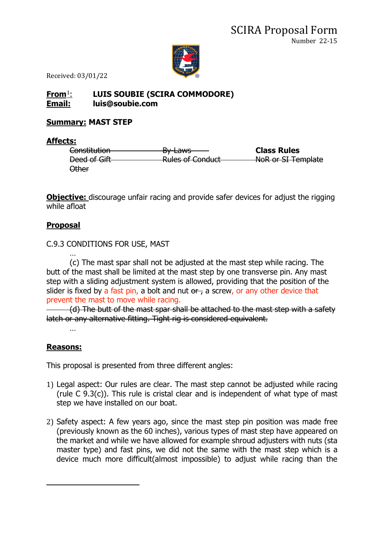

Received: 03/01/22

# **From**[1](#page-0-0): **LUIS SOUBIE (SCIRA COMMODORE) Email: luis@soubie.com**

### **Summary: MAST STEP**

#### **Affects:**

Constitution By-Laws **Class Rules** Deed of Gift **Rules of Conduct** NoR or SI Template Other

**Objective:** discourage unfair racing and provide safer devices for adjust the rigging while afloat

# **Proposal**

### C.9.3 CONDITIONS FOR USE, MAST

… (c) The mast spar shall not be adjusted at the mast step while racing. The butt of the mast shall be limited at the mast step by one transverse pin. Any mast step with a sliding adjustment system is allowed, providing that the position of the slider is fixed by a fast pin, a bolt and nut  $\theta$ , a screw, or any other device that prevent the mast to move while racing.

(d) The butt of the mast spar shall be attached to the mast step with a safety latch or any alternative fitting. Tight rig is considered equivalent. …

# **Reasons:**

This proposal is presented from three different angles:

- 1) Legal aspect: Our rules are clear. The mast step cannot be adjusted while racing (rule C 9.3(c)). This rule is cristal clear and is independent of what type of mast step we have installed on our boat.
- <span id="page-0-0"></span>2) Safety aspect: A few years ago, since the mast step pin position was made free (previously known as the 60 inches), various types of mast step have appeared on the market and while we have allowed for example shroud adjusters with nuts (sta master type) and fast pins, we did not the same with the mast step which is a device much more difficult(almost impossible) to adjust while racing than the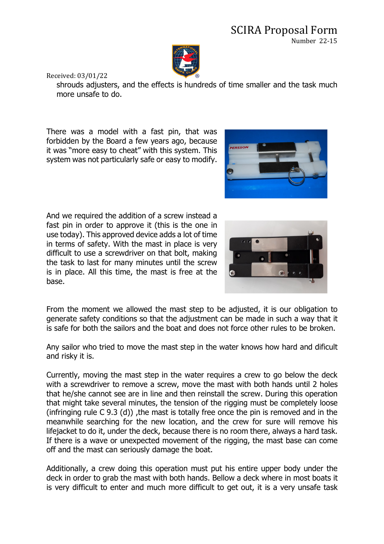

Received: 03/01/22

shrouds adjusters, and the effects is hundreds of time smaller and the task much more unsafe to do.

There was a model with a fast pin, that was forbidden by the Board a few years ago, because it was "more easy to cheat" with this system. This system was not particularly safe or easy to modify.



And we required the addition of a screw instead a fast pin in order to approve it (this is the one in use today). This approved device adds a lot of time in terms of safety. With the mast in place is very difficult to use a screwdriver on that bolt, making the task to last for many minutes until the screw is in place. All this time, the mast is free at the base.



From the moment we allowed the mast step to be adjusted, it is our obligation to generate safety conditions so that the adjustment can be made in such a way that it is safe for both the sailors and the boat and does not force other rules to be broken.

Any sailor who tried to move the mast step in the water knows how hard and dificult and risky it is.

Currently, moving the mast step in the water requires a crew to go below the deck with a screwdriver to remove a screw, move the mast with both hands until 2 holes that he/she cannot see are in line and then reinstall the screw. During this operation that might take several minutes, the tension of the rigging must be completely loose (infringing rule  $C$  9.3 (d)), the mast is totally free once the pin is removed and in the meanwhile searching for the new location, and the crew for sure will remove his lifejacket to do it, under the deck, because there is no room there, always a hard task. If there is a wave or unexpected movement of the rigging, the mast base can come off and the mast can seriously damage the boat.

Additionally, a crew doing this operation must put his entire upper body under the deck in order to grab the mast with both hands. Bellow a deck where in most boats it is very difficult to enter and much more difficult to get out, it is a very unsafe task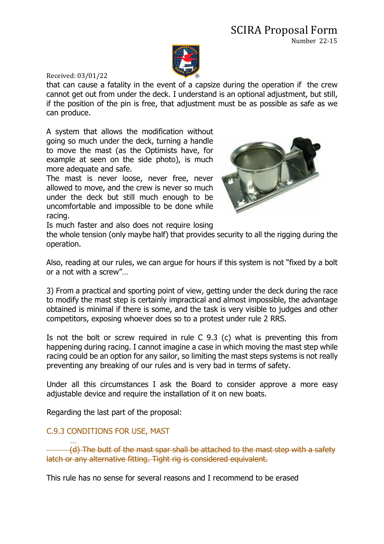### SCIRA Proposal Form Number 22-15



Received: 03/01/22

that can cause a fatality in the event of a capsize during the operation if the crew cannot get out from under the deck. I understand is an optional adjustment, but still, if the position of the pin is free, that adjustment must be as possible as safe as we can produce.

A system that allows the modification without going so much under the deck, turning a handle to move the mast (as the Optimists have, for example at seen on the side photo), is much more adequate and safe.

The mast is never loose, never free, never allowed to move, and the crew is never so much under the deck but still much enough to be uncomfortable and impossible to be done while racing.



Is much faster and also does not require losing

the whole tension (only maybe half) that provides security to all the rigging during the operation.

Also, reading at our rules, we can argue for hours if this system is not "fixed by a bolt or a not with a screw"…

3) From a practical and sporting point of view, getting under the deck during the race to modify the mast step is certainly impractical and almost impossible, the advantage obtained is minimal if there is some, and the task is very visible to judges and other competitors, exposing whoever does so to a protest under rule 2 RRS.

Is not the bolt or screw required in rule C 9.3 (c) what is preventing this from happening during racing. I cannot imagine a case in which moving the mast step while racing could be an option for any sailor, so limiting the mast steps systems is not really preventing any breaking of our rules and is very bad in terms of safety.

Under all this circumstances I ask the Board to consider approve a more easy adjustable device and require the installation of it on new boats.

Regarding the last part of the proposal:

### C.9.3 CONDITIONS FOR USE, MAST

… (d) The butt of the mast spar shall be attached to the mast step with a safe latch or any alternative fitting. Tight rig is considered equivalent.

This rule has no sense for several reasons and I recommend to be erased